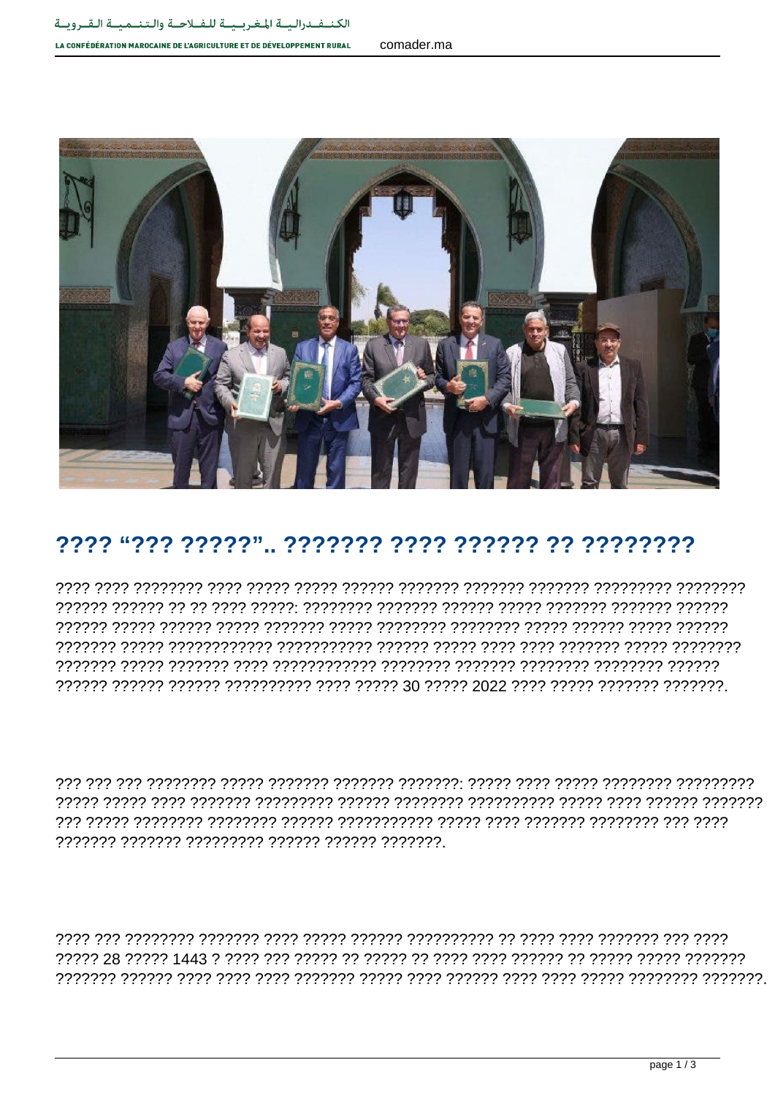## LA CONFÉDÉRATION MAROCAINE DE L'AGRICULTURE ET DE DÉVELOPPEMENT RURAL



## 

רמרמר מרמרמר מרמרות המודירות המרמרות המרמרות מרמרות המרור המרמרות המרור המרורו 

רורורור ורורור הרור רורו היוון הרורורורורו ורורורו ורורור הרורורורו ויוורורו ויוורור היוון ויוור ויוור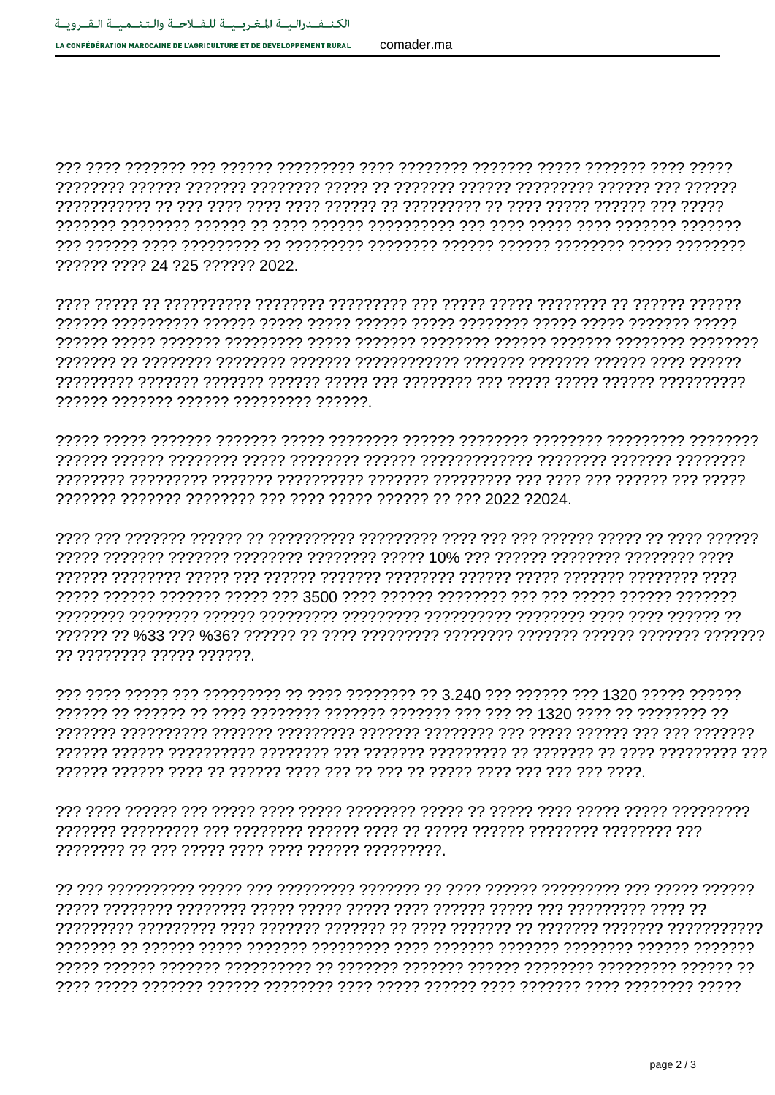comader ma

222222 2222 24 225 222222 2022

, הדרדרדרך רדרדרדר דרדרדר דרדרדר רדרדרדר דרדרדר דרדרדר דרדרד רדרדרדר דרדרדר דרדרד דרדרד 

רמממ מממ הממממ מממ מממ ממממממממי המממממ מממממממ המממממי המממממי הממממממ 

77 77777777 77777 777777

רור וררורורורור רררר רר ררורורר רר ררורורור ררורורר ררורור ררר ררורור ררורורור ררורור רורור ר 

<u>רוללוללולל ליוללולל ליוללולל לי ליוללולל ליולל ליוללולל ליוללול ליולל ליולל ליוללולל ליוללוללול</u> רמממ הממממממי מממ המממממי מממי הממממי מממי מממממי מממממי הממממי מממי מממי